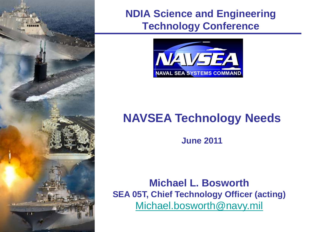

## **NDIA Science and Engineering Technology Conference**



# **NAVSEA Technology Needs**

**June 2011**

**Michael L. Bosworth SEA 05T, Chief Technology Officer (acting)** [Michael.bosworth@navy.mil](mailto:Michael.bosworth@navy.mil)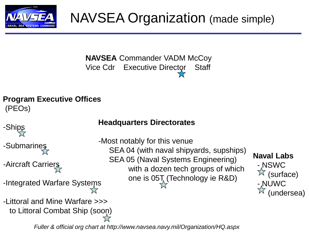

# NAVSEA Organization (made simple)

# **NAVSEA** Commander VADM McCoy Vice Cdr Executive Director Staff

### **Program Executive Offices** (PEOs)

-Ships

- -Submarines
- -Aircraft Carriers
- -Integrated Warfare Systems
- -Littoral and Mine Warfare >>> to Littoral Combat Ship (soon)

## **Headquarters Directorates**

- -Most notably for this venue SEA 04 (with naval shipyards, supships) SEA 05 (Naval Systems Engineering) with a dozen tech groups of which one is 05T<sub>a</sub> (Technology ie R&D)
- **Naval Labs** - NSWC  $\sqrt[\chi]{}$  (surface) - <sub>^</sub>NUWC (undersea)

*Fuller & official org chart at http://www.navsea.navy.mil/Organization/HQ.aspx*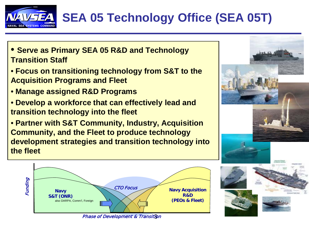

# **SEA 05 Technology Office (SEA 05T)**

- **Serve as Primary SEA 05 R&D and Technology Transition Staff**
- **Focus on transitioning technology from S&T to the Acquisition Programs and Fleet**
- **Manage assigned R&D Programs**
- **Develop a workforce that can effectively lead and transition technology into the fleet**
- **Partner with S&T Community, Industry, Acquisition Community, and the Fleet to produce technology development strategies and transition technology into the fleet**



Phase of Development & Transit<mark>f</mark>on

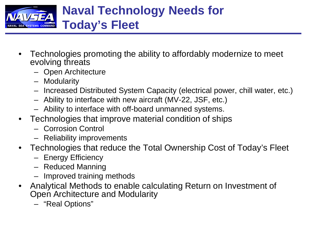

- Technologies promoting the ability to affordably modernize to meet evolving threats
	- Open Architecture
	- Modularity
	- Increased Distributed System Capacity (electrical power, chill water, etc.)
	- Ability to interface with new aircraft (MV-22, JSF, etc.)
	- Ability to interface with off-board unmanned systems.
- Technologies that improve material condition of ships
	- Corrosion Control
	- Reliability improvements
- Technologies that reduce the Total Ownership Cost of Today's Fleet
	- Energy Efficiency
	- Reduced Manning
	- Improved training methods
- Analytical Methods to enable calculating Return on Investment of Open Architecture and Modularity
	- "Real Options"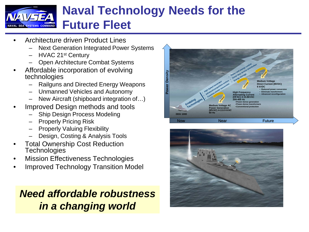

- Architecture driven Product Lines
	- Next Generation Integrated Power Systems
	- HVAC 21<sup>st</sup> Century
	- Open Architecture Combat Systems
- Affordable incorporation of evolving technologies
	- Railguns and Directed Energy Weapons
	- Unmanned Vehicles and Autonomy
	- New Aircraft (shipboard integration of…)
- Improved Design methods and tools
	- Ship Design Process Modeling
	- Properly Pricing Risk
	- Properly Valuing Flexibility
	- Design, Costing & Analysis Tools
- **Total Ownership Cost Reduction Technologies**
- **Mission Effectiveness Technologies**
- Improved Technology Transition Model

## *Need affordable robustness in a changing world*



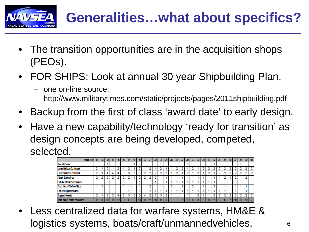

- The transition opportunities are in the acquisition shops (PEOs).
- FOR SHIPS: Look at annual 30 year Shipbuilding Plan.
	- one on-line source: http://www.militarytimes.com/static/projects/pages/2011shipbuilding.pdf
- Backup from the first of class 'award date' to early design.
- Have a new capability/technology 'ready for transition' as design concepts are being developed, competed, selected.



Less centralized data for warfare systems, HM&E & logistics systems, boats/craft/unmannedvehicles.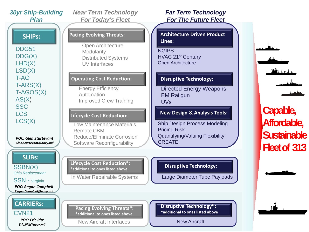*30yr Ship-Building Plan* 

DDG51 DDG(X) LHD(X) LSD(X) T-AO T-ARS(X) T-AGOS(X) AS(X) **SSC** LCS LCS(X)

*POC: Glen Sturtevant Glen.Sturtevant@navy.mil*

**SUBs:**

SSBN(X) *Ohio Replacement*

SSN - Virginia

*POC: Regan Campbell Regan.Campbell@navy.mil*

**CARRIERs:**

**Pacing Evolving Threats\*:**<br>CVN21 **Pacing Evolving Threats\*:** *POC: Eric Pitt Eric.Pitt@navy.mil*

*Near Term Technology For Today's Fleet*

#### **SHIPs: Pacing Evolving Threats:**

Open Architecture Modularity Distributed Systems UV Interfaces

#### **Operating Cost Reduction:**

Energy Efficiency Automation Improved Crew Training

#### **Lifecycle Cost Reduction:**

Low Maintenance Materials Remote CBM Reduce/Eliminate Corrosion Software Reconfigurability

**Lifecycle Cost Reduction\*: \*additional to ones listed above**

In Water Repairable Systems

**\*additional to ones listed above**

### *Far Term Technology For The Future Fleet*

**Architecture Driven Product Lines:**

**NGIPS** HVAC 21st Century Open Architecture

#### **Disruptive Technology:**

Directed Energy Weapons EM Railgun UVs

**New Design & Analysis Tools: Capable,**

Ship Design Process Modeling Pricing Risk Quantifying/Valuing Flexibility **CREATE** 

**Disruptive Technology:**

Large Diameter Tube Payloads



New Aircraft Interfaces New Aircraft



**Affordable, Sustainable Fleet of 313**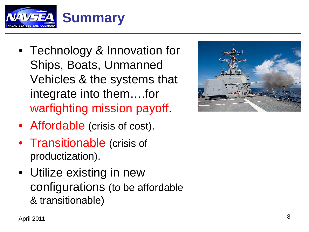

- Technology & Innovation for Ships, Boats, Unmanned Vehicles & the systems that integrate into them….for warfighting mission payoff .
- Affordable (crisis of cost).
- Transitionable (crisis of productization).
- Utilize existing in new configurations (to be affordable & transitionable)